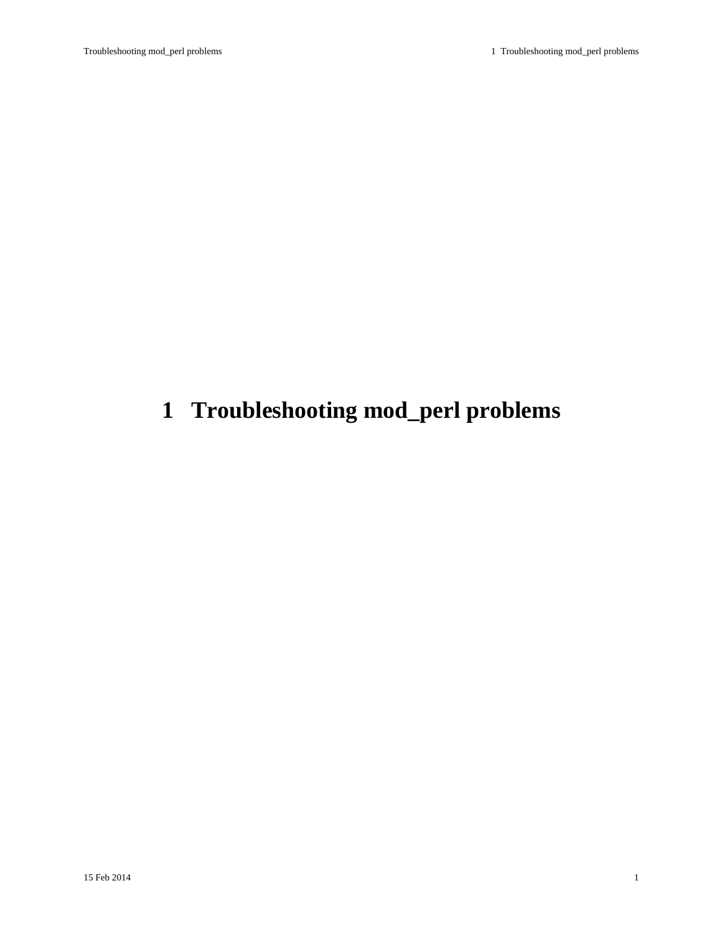# <span id="page-0-0"></span>**1 Troubleshooting mod\_perl problems**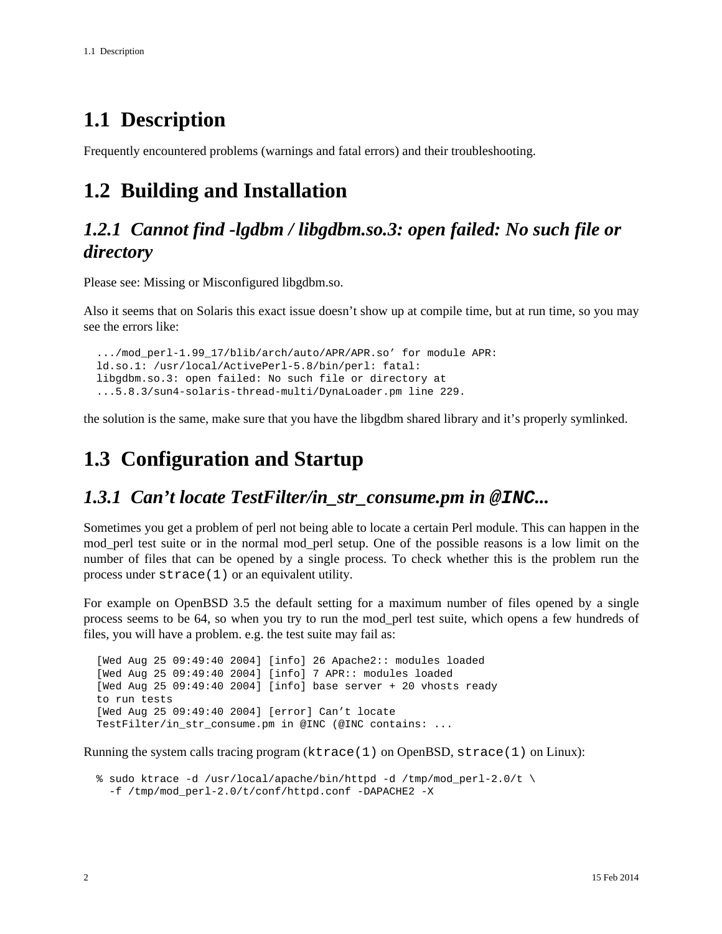## <span id="page-1-0"></span>**1.1 Description**

Frequently encountered problems (warnings and fatal errors) and their troubleshooting.

## <span id="page-1-1"></span>**1.2 Building and Installation**

### <span id="page-1-2"></span>*1.2.1 Cannot find -lgdbm / libgdbm.so.3: open failed: No such file or directory*

Please see: Missing or Misconfigured libgdbm.so.

Also it seems that on Solaris this exact issue doesn't show up at compile time, but at run time, so you may see the errors like:

 .../mod\_perl-1.99\_17/blib/arch/auto/APR/APR.so' for module APR: ld.so.1: /usr/local/ActivePerl-5.8/bin/perl: fatal: libgdbm.so.3: open failed: No such file or directory at ...5.8.3/sun4-solaris-thread-multi/DynaLoader.pm line 229.

the solution is the same, make sure that you have the libgdbm shared library and it's properly symlinked.

## <span id="page-1-3"></span>**1.3 Configuration and Startup**

#### <span id="page-1-4"></span>*1.3.1 Can't locate TestFilter/in\_str\_consume.pm in* **@INC***...*

Sometimes you get a problem of perl not being able to locate a certain Perl module. This can happen in the mod\_perl test suite or in the normal mod\_perl setup. One of the possible reasons is a low limit on the number of files that can be opened by a single process. To check whether this is the problem run the process under strace(1) or an equivalent utility.

For example on OpenBSD 3.5 the default setting for a maximum number of files opened by a single process seems to be 64, so when you try to run the mod\_perl test suite, which opens a few hundreds of files, you will have a problem. e.g. the test suite may fail as:

 [Wed Aug 25 09:49:40 2004] [info] 26 Apache2:: modules loaded [Wed Aug 25 09:49:40 2004] [info] 7 APR:: modules loaded [Wed Aug 25 09:49:40 2004] [info] base server + 20 vhosts ready to run tests [Wed Aug 25 09:49:40 2004] [error] Can't locate TestFilter/in\_str\_consume.pm in @INC (@INC contains: ...

Running the system calls tracing program  $(ktrace(1)$  on OpenBSD,  $strace(1)$  on Linux):

 % sudo ktrace -d /usr/local/apache/bin/httpd -d /tmp/mod\_perl-2.0/t \ -f /tmp/mod\_perl-2.0/t/conf/httpd.conf -DAPACHE2 -X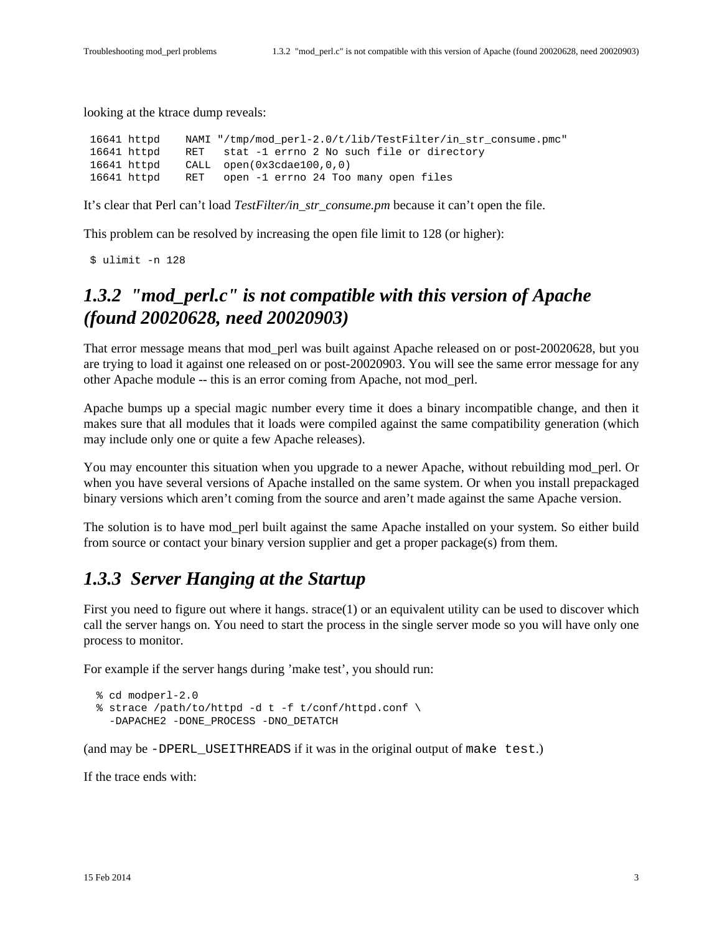looking at the ktrace dump reveals:

 16641 httpd NAMI "/tmp/mod\_perl-2.0/t/lib/TestFilter/in\_str\_consume.pmc" 16641 httpd RET stat -1 errno 2 No such file or directory 16641 httpd CALL open(0x3cdae100,0,0) 16641 httpd RET open -1 errno 24 Too many open files

It's clear that Perl can't load *TestFilter/in\_str\_consume.pm* because it can't open the file.

This problem can be resolved by increasing the open file limit to 128 (or higher):

\$ ulimit -n 128

### <span id="page-2-0"></span>*1.3.2 "mod\_perl.c" is not compatible with this version of Apache (found 20020628, need 20020903)*

That error message means that mod\_perl was built against Apache released on or post-20020628, but you are trying to load it against one released on or post-20020903. You will see the same error message for any other Apache module -- this is an error coming from Apache, not mod\_perl.

Apache bumps up a special magic number every time it does a binary incompatible change, and then it makes sure that all modules that it loads were compiled against the same compatibility generation (which may include only one or quite a few Apache releases).

You may encounter this situation when you upgrade to a newer Apache, without rebuilding mod\_perl. Or when you have several versions of Apache installed on the same system. Or when you install prepackaged binary versions which aren't coming from the source and aren't made against the same Apache version.

The solution is to have mod\_perl built against the same Apache installed on your system. So either build from source or contact your binary version supplier and get a proper package(s) from them.

### <span id="page-2-1"></span>*1.3.3 Server Hanging at the Startup*

First you need to figure out where it hangs. strace(1) or an equivalent utility can be used to discover which call the server hangs on. You need to start the process in the single server mode so you will have only one process to monitor.

For example if the server hangs during 'make test', you should run:

```
 % cd modperl-2.0
 % strace /path/to/httpd -d t -f t/conf/httpd.conf \
   -DAPACHE2 -DONE_PROCESS -DNO_DETATCH
```
(and may be -DPERL\_USEITHREADS if it was in the original output of make test.)

If the trace ends with: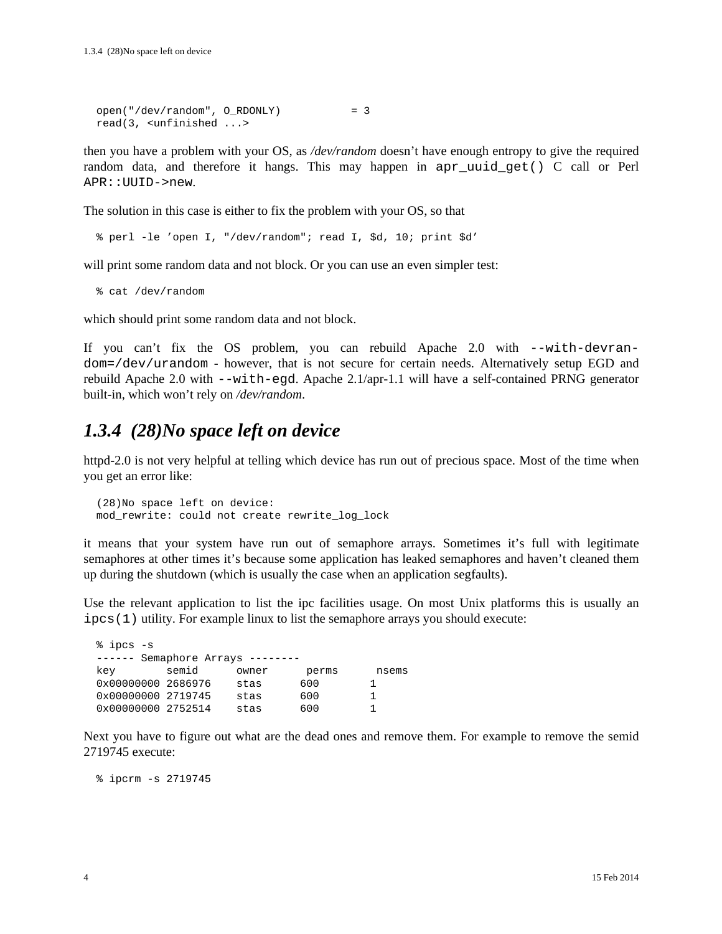```
 open("/dev/random", O_RDONLY) = 3
 read(3, <unfinished ...>
```
then you have a problem with your OS, as */dev/random* doesn't have enough entropy to give the required random data, and therefore it hangs. This may happen in apr\_uuid\_get() C call or Perl APR::UUID->new.

The solution in this case is either to fix the problem with your OS, so that

% perl -le 'open I, "/dev/random"; read I, \$d, 10; print \$d'

will print some random data and not block. Or you can use an even simpler test:

```
 % cat /dev/random
```
which should print some random data and not block.

If you can't fix the OS problem, you can rebuild Apache 2.0 with --with-devrandom=/dev/urandom - however, that is not secure for certain needs. Alternatively setup EGD and rebuild Apache 2.0 with --with-egd. Apache 2.1/apr-1.1 will have a self-contained PRNG generator built-in, which won't rely on */dev/random*.

### <span id="page-3-0"></span>*1.3.4 (28)No space left on device*

httpd-2.0 is not very helpful at telling which device has run out of precious space. Most of the time when you get an error like:

```
 (28)No space left on device:
 mod_rewrite: could not create rewrite_log_lock
```
it means that your system have run out of semaphore arrays. Sometimes it's full with legitimate semaphores at other times it's because some application has leaked semaphores and haven't cleaned them up during the shutdown (which is usually the case when an application segfaults).

Use the relevant application to list the ipc facilities usage. On most Unix platforms this is usually an ipcs(1) utility. For example linux to list the semaphore arrays you should execute:

| % ipcs -s          |                           |       |       |       |  |  |
|--------------------|---------------------------|-------|-------|-------|--|--|
| $- - - - - - -$    | Semaphore Arrays -------- |       |       |       |  |  |
| kev                | semid                     | owner | perms | nsems |  |  |
| 0x00000000 2686976 |                           | stas  | 600   |       |  |  |
| 0x00000000 2719745 |                           | stas  | 600   |       |  |  |
| 0x00000000 2752514 |                           | stas  | 600   |       |  |  |
|                    |                           |       |       |       |  |  |

Next you have to figure out what are the dead ones and remove them. For example to remove the semid 2719745 execute:

% ipcrm -s 2719745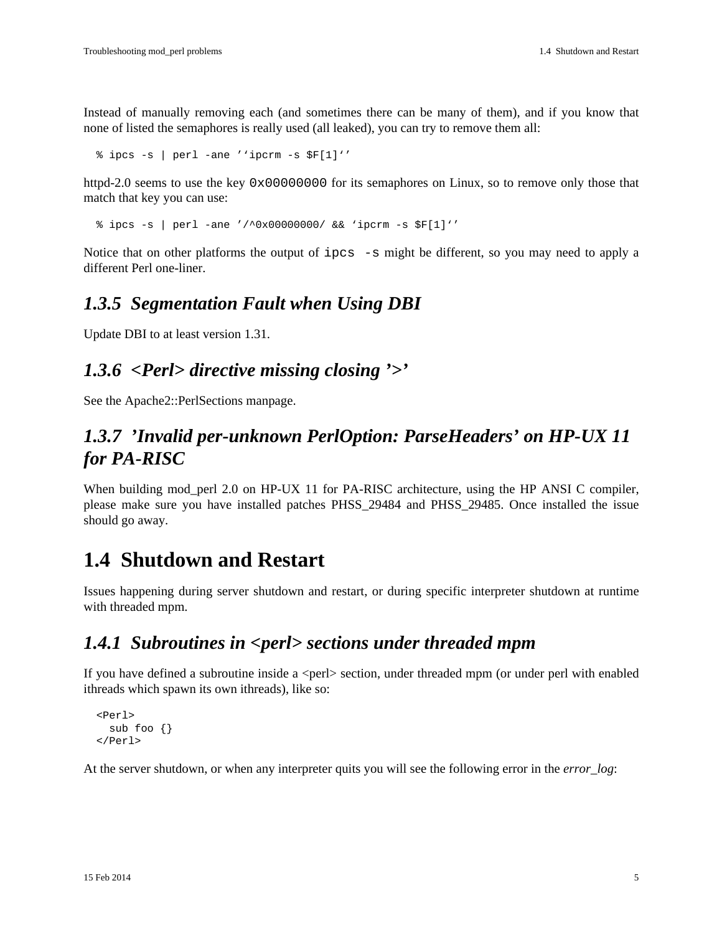Instead of manually removing each (and sometimes there can be many of them), and if you know that none of listed the semaphores is really used (all leaked), you can try to remove them all:

% ipcs -s | perl -ane ''ipcrm -s \$F[1]''

httpd-2.0 seems to use the key 0x00000000 for its semaphores on Linux, so to remove only those that match that key you can use:

% ipcs -s | perl -ane '/^0x00000000/ && 'ipcrm -s \$F[1]''

Notice that on other platforms the output of ipcs -s might be different, so you may need to apply a different Perl one-liner.

#### <span id="page-4-0"></span>*1.3.5 Segmentation Fault when Using DBI*

Update DBI to at least version 1.31.

### <span id="page-4-1"></span>*1.3.6 <Perl> directive missing closing '>'*

See the Apache2::PerlSections manpage.

### <span id="page-4-2"></span>*1.3.7 'Invalid per-unknown PerlOption: ParseHeaders' on HP-UX 11 for PA-RISC*

When building mod\_perl 2.0 on HP-UX 11 for PA-RISC architecture, using the HP ANSI C compiler, please make sure you have installed patches PHSS\_29484 and PHSS\_29485. Once installed the issue should go away.

### <span id="page-4-3"></span>**1.4 Shutdown and Restart**

Issues happening during server shutdown and restart, or during specific interpreter shutdown at runtime with threaded mpm.

#### <span id="page-4-4"></span>*1.4.1 Subroutines in <perl> sections under threaded mpm*

If you have defined a subroutine inside a <perl> section, under threaded mpm (or under perl with enabled ithreads which spawn its own ithreads), like so:

```
 <Perl>
   sub foo {}
 </Perl>
```
At the server shutdown, or when any interpreter quits you will see the following error in the *error\_log*: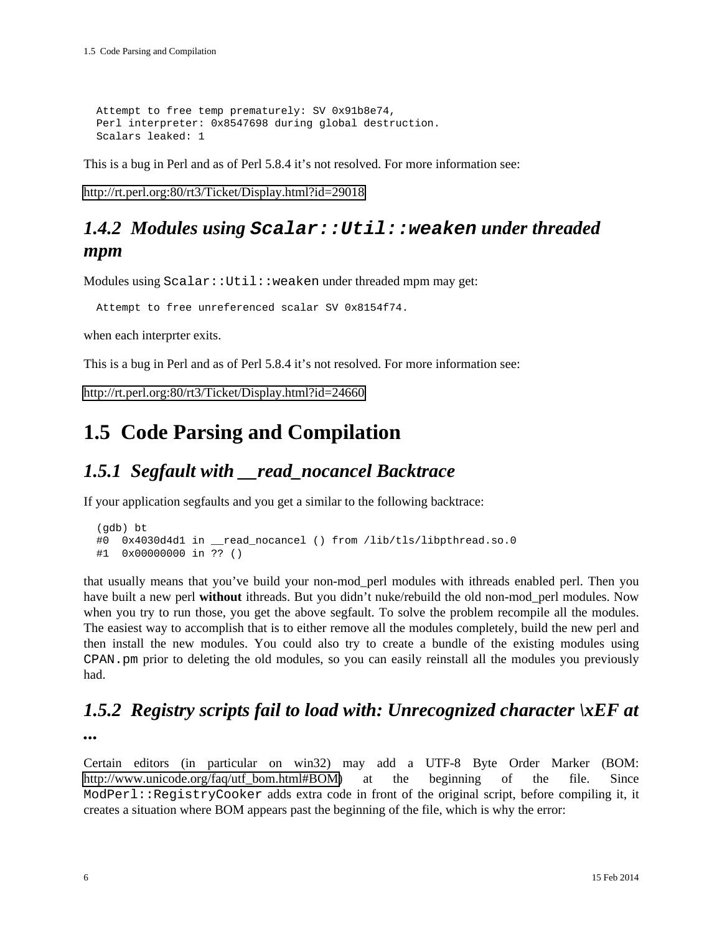```
 Attempt to free temp prematurely: SV 0x91b8e74,
 Perl interpreter: 0x8547698 during global destruction.
 Scalars leaked: 1
```
This is a bug in Perl and as of Perl 5.8.4 it's not resolved. For more information see:

<http://rt.perl.org:80/rt3/Ticket/Display.html?id=29018>

### <span id="page-5-0"></span>*1.4.2 Modules using* **Scalar::Util::weaken** *under threaded mpm*

Modules using Scalar:: Util::weaken under threaded mpm may get:

Attempt to free unreferenced scalar SV 0x8154f74.

when each interprter exits.

This is a bug in Perl and as of Perl 5.8.4 it's not resolved. For more information see:

<http://rt.perl.org:80/rt3/Ticket/Display.html?id=24660>

## <span id="page-5-1"></span>**1.5 Code Parsing and Compilation**

#### <span id="page-5-2"></span>*1.5.1 Segfault with \_\_read\_nocancel Backtrace*

If your application segfaults and you get a similar to the following backtrace:

```
 (gdb) bt
 #0 0x4030d4d1 in __read_nocancel () from /lib/tls/libpthread.so.0
 #1 0x00000000 in ?? ()
```
that usually means that you've build your non-mod\_perl modules with ithreads enabled perl. Then you have built a new perl **without** ithreads. But you didn't nuke/rebuild the old non-mod\_perl modules. Now when you try to run those, you get the above segfault. To solve the problem recompile all the modules. The easiest way to accomplish that is to either remove all the modules completely, build the new perl and then install the new modules. You could also try to create a bundle of the existing modules using CPAN.pm prior to deleting the old modules, so you can easily reinstall all the modules you previously had.

### <span id="page-5-3"></span>*1.5.2 Registry scripts fail to load with: Unrecognized character \xEF at*

*...*

Certain editors (in particular on win32) may add a UTF-8 Byte Order Marker (BOM: [http://www.unicode.org/faq/utf\\_bom.html#BOM\)](http://www.unicode.org/faq/utf_bom.html#BOM) at the beginning of the file. Since ModPerl::RegistryCooker adds extra code in front of the original script, before compiling it, it creates a situation where BOM appears past the beginning of the file, which is why the error: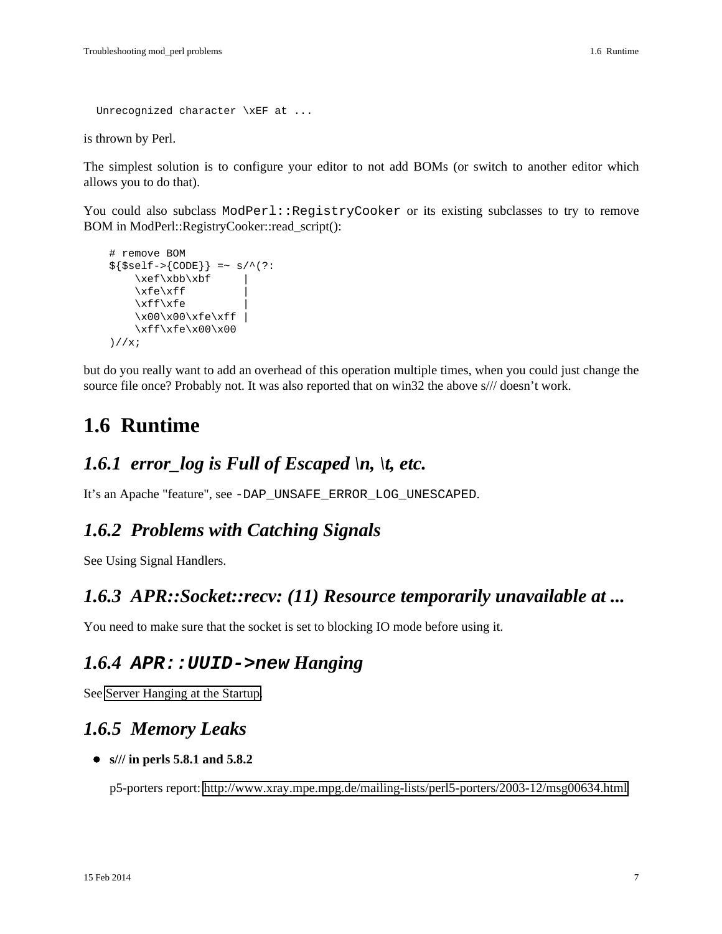```
 Unrecognized character \xEF at ...
```
is thrown by Perl.

The simplest solution is to configure your editor to not add BOMs (or switch to another editor which allows you to do that).

You could also subclass ModPerl::RegistryCooker or its existing subclasses to try to remove BOM in ModPerl::RegistryCooker::read\_script():

```
 # remove BOM
${$self->{CODE}} =~ s/^(?:
    \xet \xbbb \xbf\xfe\xtf\xff\xfe \x00\x00\xfe\xff |
     \xff\xfe\x00\x00
 )//x;
```
but do you really want to add an overhead of this operation multiple times, when you could just change the source file once? Probably not. It was also reported that on win32 the above s/// doesn't work.

## <span id="page-6-0"></span>**1.6 Runtime**

### <span id="page-6-1"></span>*1.6.1 error log is Full of Escaped*  $\langle n, \rangle$ *t, etc.*

It's an Apache "feature", see -DAP\_UNSAFE\_ERROR\_LOG\_UNESCAPED.

#### <span id="page-6-2"></span>*1.6.2 Problems with Catching Signals*

See Using Signal Handlers.

#### <span id="page-6-3"></span>*1.6.3 APR::Socket::recv: (11) Resource temporarily unavailable at ...*

You need to make sure that the socket is set to blocking IO mode before using it.

#### <span id="page-6-4"></span>*1.6.4* **APR::UUID->new** *Hanging*

See Server Hanging at the Startup.

#### <span id="page-6-5"></span>*1.6.5 Memory Leaks*

**s/// in perls 5.8.1 and 5.8.2**

p5-porters report:<http://www.xray.mpe.mpg.de/mailing-lists/perl5-porters/2003-12/msg00634.html>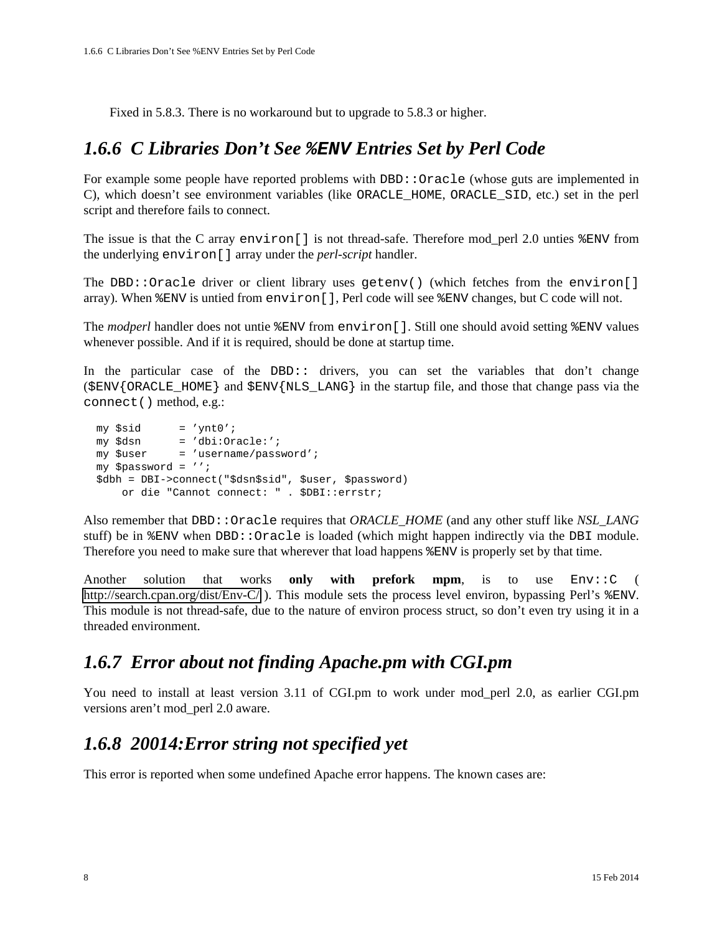Fixed in 5.8.3. There is no workaround but to upgrade to 5.8.3 or higher.

#### <span id="page-7-0"></span>*1.6.6 C Libraries Don't See* **%ENV** *Entries Set by Perl Code*

For example some people have reported problems with DBD: : Oracle (whose guts are implemented in C), which doesn't see environment variables (like ORACLE\_HOME, ORACLE\_SID, etc.) set in the perl script and therefore fails to connect.

The issue is that the C array environ[] is not thread-safe. Therefore mod\_perl 2.0 unties %ENV from the underlying environ[] array under the *perl-script* handler.

The DBD::Oracle driver or client library uses getenv() (which fetches from the environ[] array). When %ENV is untied from environ[], Perl code will see %ENV changes, but C code will not.

The *modperl* handler does not untie %ENV from environ[]. Still one should avoid setting %ENV values whenever possible. And if it is required, should be done at startup time.

In the particular case of the DBD:: drivers, you can set the variables that don't change (\$ENV{ORACLE\_HOME} and \$ENV{NLS\_LANG} in the startup file, and those that change pass via the connect() method, e.g.:

```
 my $sid = 'ynt0';
 my $dsn = 'dbi:Oracle:';
 my $user = 'username/password';
 my $password = '';
 $dbh = DBI->connect("$dsn$sid", $user, $password)
     or die "Cannot connect: " . $DBI::errstr;
```
Also remember that DBD::Oracle requires that *ORACLE\_HOME* (and any other stuff like *NSL\_LANG* stuff) be in %ENV when DBD::Oracle is loaded (which might happen indirectly via the DBI module. Therefore you need to make sure that wherever that load happens %ENV is properly set by that time.

Another solution that works **only with prefork mpm**, is to use Env::C ( <http://search.cpan.org/dist/Env-C/>). This module sets the process level environ, bypassing Perl's %ENV. This module is not thread-safe, due to the nature of environ process struct, so don't even try using it in a threaded environment.

### <span id="page-7-1"></span>*1.6.7 Error about not finding Apache.pm with CGI.pm*

You need to install at least version 3.11 of CGI.pm to work under mod\_perl 2.0, as earlier CGI.pm versions aren't mod\_perl 2.0 aware.

### <span id="page-7-2"></span>*1.6.8 20014:Error string not specified yet*

This error is reported when some undefined Apache error happens. The known cases are: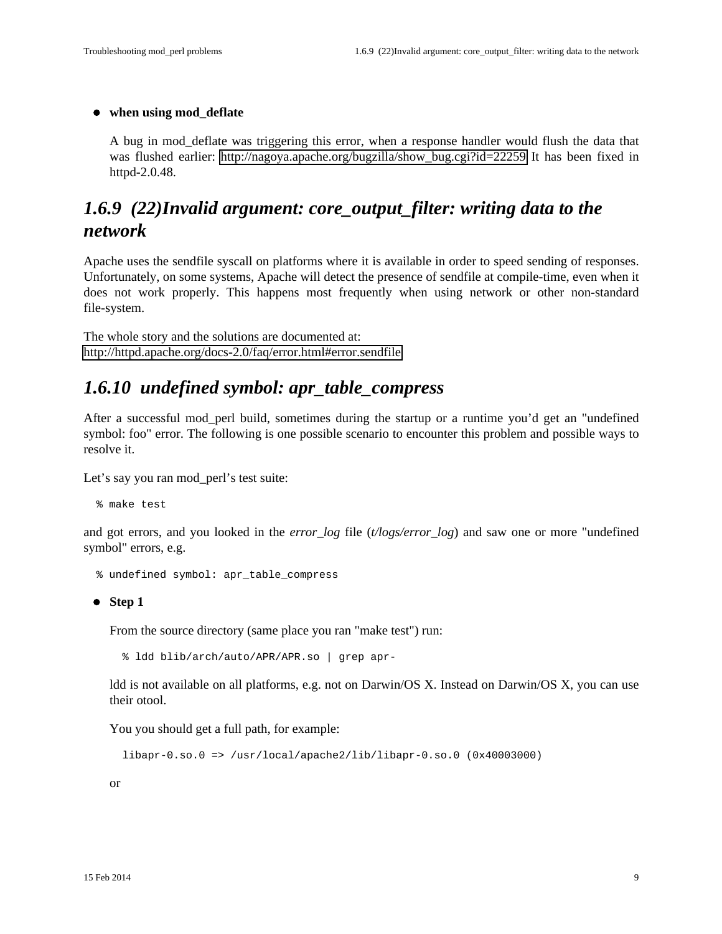#### **when using mod\_deflate**

A bug in mod\_deflate was triggering this error, when a response handler would flush the data that was flushed earlier: http://nagoya.apache.org/bugzilla/show bug.cgi?id=22259 It has been fixed in httpd-2.0.48.

### <span id="page-8-0"></span>*1.6.9 (22)Invalid argument: core\_output\_filter: writing data to the network*

Apache uses the sendfile syscall on platforms where it is available in order to speed sending of responses. Unfortunately, on some systems, Apache will detect the presence of sendfile at compile-time, even when it does not work properly. This happens most frequently when using network or other non-standard file-system.

The whole story and the solutions are documented at: <http://httpd.apache.org/docs-2.0/faq/error.html#error.sendfile>

### <span id="page-8-1"></span>*1.6.10 undefined symbol: apr\_table\_compress*

After a successful mod\_perl build, sometimes during the startup or a runtime you'd get an "undefined symbol: foo" error. The following is one possible scenario to encounter this problem and possible ways to resolve it.

Let's say you ran mod\_perl's test suite:

% make test

and got errors, and you looked in the *error\_log* file (*t/logs/error\_log*) and saw one or more "undefined symbol" errors, e.g.

```
 % undefined symbol: apr_table_compress
```
**Step 1**

From the source directory (same place you ran "make test") run:

% ldd blib/arch/auto/APR/APR.so | grep apr-

ldd is not available on all platforms, e.g. not on Darwin/OS X. Instead on Darwin/OS X, you can use their otool.

You you should get a full path, for example:

```
 libapr-0.so.0 => /usr/local/apache2/lib/libapr-0.so.0 (0x40003000)
```
or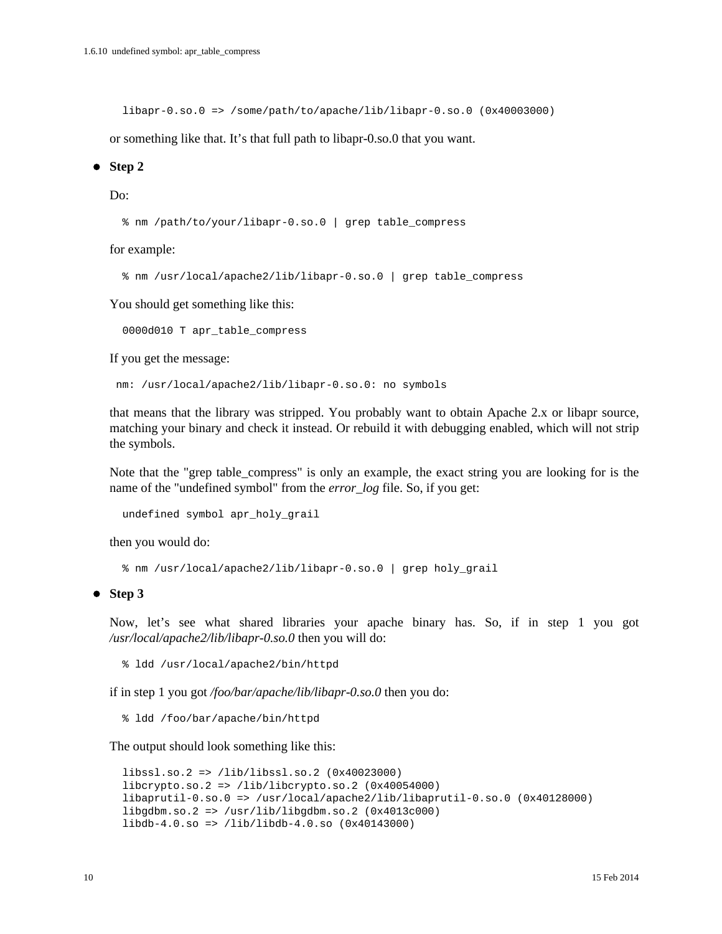libapr-0.so.0 => /some/path/to/apache/lib/libapr-0.so.0 (0x40003000)

or something like that. It's that full path to libapr-0.so.0 that you want.

#### **Step 2**

#### Do:

% nm /path/to/your/libapr-0.so.0 | grep table\_compress

for example:

% nm /usr/local/apache2/lib/libapr-0.so.0 | grep table\_compress

You should get something like this:

0000d010 T apr\_table\_compress

If you get the message:

nm: /usr/local/apache2/lib/libapr-0.so.0: no symbols

that means that the library was stripped. You probably want to obtain Apache 2.x or libapr source, matching your binary and check it instead. Or rebuild it with debugging enabled, which will not strip the symbols.

Note that the "grep table\_compress" is only an example, the exact string you are looking for is the name of the "undefined symbol" from the *error* log file. So, if you get:

undefined symbol apr holy grail

then you would do:

% nm /usr/local/apache2/lib/libapr-0.so.0 | grep holy\_grail

**Step 3**

Now, let's see what shared libraries your apache binary has. So, if in step 1 you got */usr/local/apache2/lib/libapr-0.so.0* then you will do:

% ldd /usr/local/apache2/bin/httpd

if in step 1 you got */foo/bar/apache/lib/libapr-0.so.0* then you do:

% ldd /foo/bar/apache/bin/httpd

The output should look something like this:

```
 libssl.so.2 => /lib/libssl.so.2 (0x40023000)
 libcrypto.so.2 => /lib/libcrypto.so.2 (0x40054000)
 libaprutil-0.so.0 => /usr/local/apache2/lib/libaprutil-0.so.0 (0x40128000)
 libgdbm.so.2 => /usr/lib/libgdbm.so.2 (0x4013c000)
 libdb-4.0.so => /lib/libdb-4.0.so (0x40143000)
```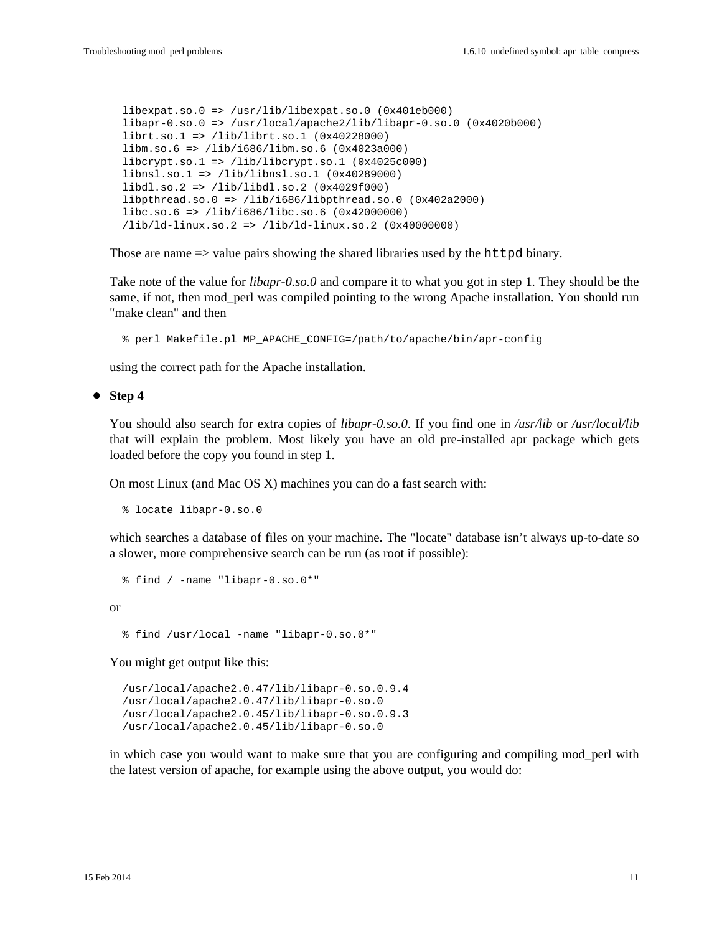```
 libexpat.so.0 => /usr/lib/libexpat.so.0 (0x401eb000)
 libapr-0.so.0 => /usr/local/apache2/lib/libapr-0.so.0 (0x4020b000)
 librt.so.1 => /lib/librt.so.1 (0x40228000)
 libm.so.6 => /lib/i686/libm.so.6 (0x4023a000)
 libcrypt.so.1 => /lib/libcrypt.so.1 (0x4025c000)
 libnsl.so.1 => /lib/libnsl.so.1 (0x40289000)
 libdl.so.2 => /lib/libdl.so.2 (0x4029f000)
 libpthread.so.0 => /lib/i686/libpthread.so.0 (0x402a2000)
 libc.so.6 => /lib/i686/libc.so.6 (0x42000000)
 /lib/ld-linux.so.2 => /lib/ld-linux.so.2 (0x40000000)
```
Those are name  $\Rightarrow$  value pairs showing the shared libraries used by the httpd binary.

Take note of the value for *libapr-0.so.0* and compare it to what you got in step 1. They should be the same, if not, then mod\_perl was compiled pointing to the wrong Apache installation. You should run "make clean" and then

% perl Makefile.pl MP\_APACHE\_CONFIG=/path/to/apache/bin/apr-config

using the correct path for the Apache installation.

**Step 4**

You should also search for extra copies of *libapr-0.so.0*. If you find one in */usr/lib* or */usr/local/lib* that will explain the problem. Most likely you have an old pre-installed apr package which gets loaded before the copy you found in step 1.

On most Linux (and Mac OS X) machines you can do a fast search with:

% locate libapr-0.so.0

which searches a database of files on your machine. The "locate" database isn't always up-to-date so a slower, more comprehensive search can be run (as root if possible):

```
 % find / -name "libapr-0.so.0*"
```
or

% find /usr/local -name "libapr-0.so.0\*"

You might get output like this:

 /usr/local/apache2.0.47/lib/libapr-0.so.0.9.4 /usr/local/apache2.0.47/lib/libapr-0.so.0 /usr/local/apache2.0.45/lib/libapr-0.so.0.9.3 /usr/local/apache2.0.45/lib/libapr-0.so.0

in which case you would want to make sure that you are configuring and compiling mod\_perl with the latest version of apache, for example using the above output, you would do: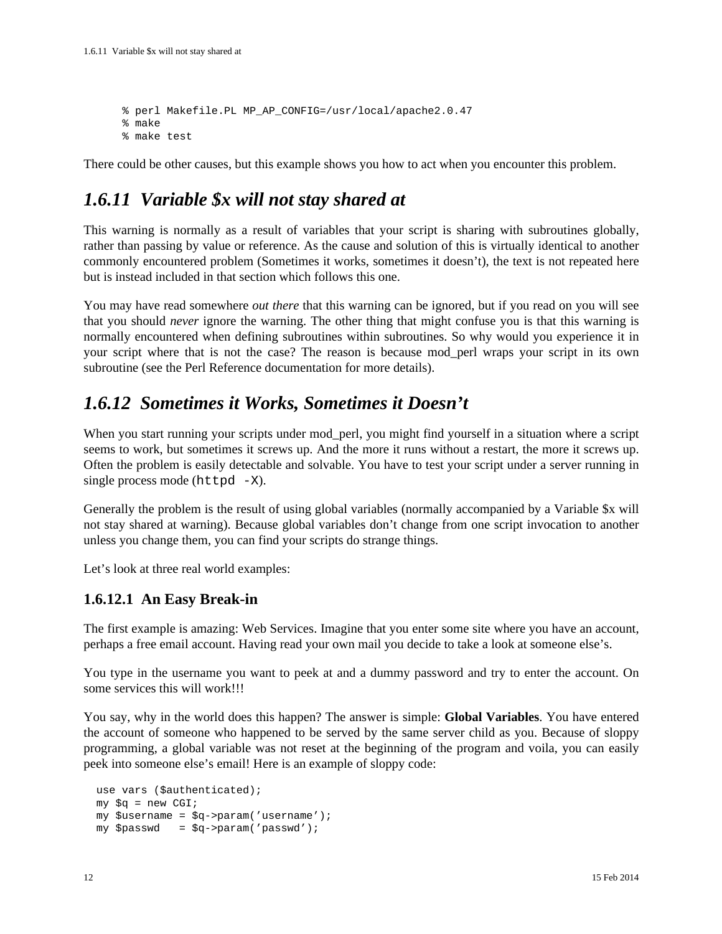```
 % perl Makefile.PL MP_AP_CONFIG=/usr/local/apache2.0.47
 % make
 % make test
```
There could be other causes, but this example shows you how to act when you encounter this problem.

### <span id="page-11-0"></span>*1.6.11 Variable \$x will not stay shared at*

This warning is normally as a result of variables that your script is sharing with subroutines globally, rather than passing by value or reference. As the cause and solution of this is virtually identical to another commonly encountered problem (Sometimes it works, sometimes it doesn't), the text is not repeated here but is instead included in that section which follows this one.

You may have read somewhere *out there* that this warning can be ignored, but if you read on you will see that you should *never* ignore the warning. The other thing that might confuse you is that this warning is normally encountered when defining subroutines within subroutines. So why would you experience it in your script where that is not the case? The reason is because mod\_perl wraps your script in its own subroutine (see the Perl Reference documentation for more details).

### <span id="page-11-1"></span>*1.6.12 Sometimes it Works, Sometimes it Doesn't*

When you start running your scripts under mod\_perl, you might find yourself in a situation where a script seems to work, but sometimes it screws up. And the more it runs without a restart, the more it screws up. Often the problem is easily detectable and solvable. You have to test your script under a server running in single process mode ( $httpd -X$ ).

Generally the problem is the result of using global variables (normally accompanied by a Variable \$x will not stay shared at warning). Because global variables don't change from one script invocation to another unless you change them, you can find your scripts do strange things.

Let's look at three real world examples:

#### <span id="page-11-2"></span>**1.6.12.1 An Easy Break-in**

The first example is amazing: Web Services. Imagine that you enter some site where you have an account, perhaps a free email account. Having read your own mail you decide to take a look at someone else's.

You type in the username you want to peek at and a dummy password and try to enter the account. On some services this will work!!!

You say, why in the world does this happen? The answer is simple: **Global Variables**. You have entered the account of someone who happened to be served by the same server child as you. Because of sloppy programming, a global variable was not reset at the beginning of the program and voila, you can easily peek into someone else's email! Here is an example of sloppy code:

```
 use vars ($authenticated);
my \zeta q = new CGI;
 my $username = $q->param('username');
 my $passwd = $q->param('passwd');
```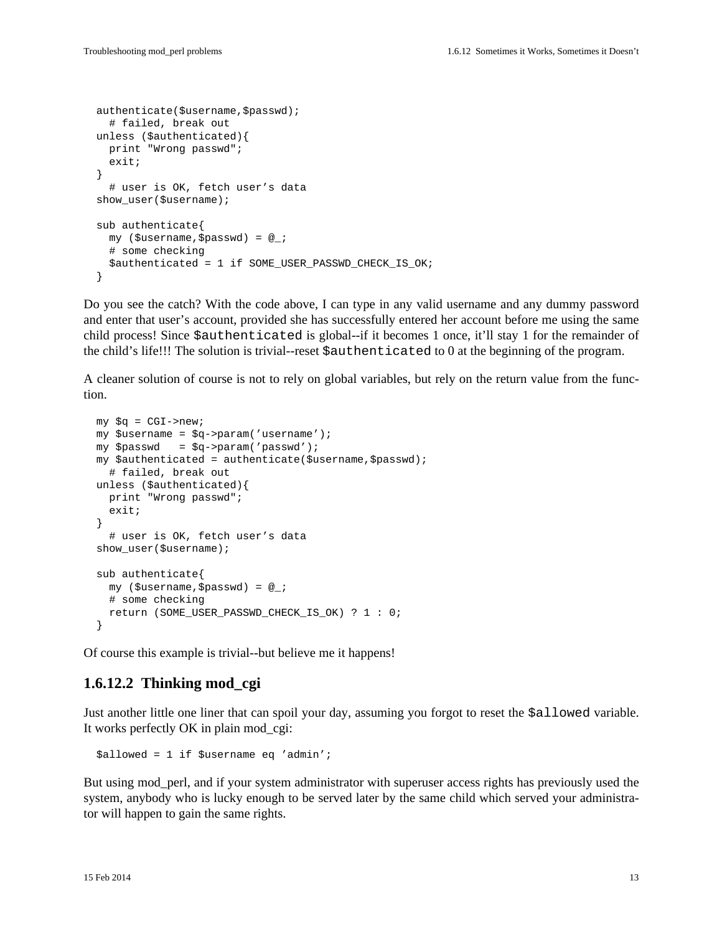```
 authenticate($username,$passwd);
   # failed, break out
 unless ($authenticated){
   print "Wrong passwd";
   exit;
 }
   # user is OK, fetch user's data
 show_user($username);
 sub authenticate{
  my ($username,$passwd) = @_;
   # some checking
   $authenticated = 1 if SOME_USER_PASSWD_CHECK_IS_OK;
 }
```
Do you see the catch? With the code above, I can type in any valid username and any dummy password and enter that user's account, provided she has successfully entered her account before me using the same child process! Since \$authenticated is global--if it becomes 1 once, it'll stay 1 for the remainder of the child's life!!! The solution is trivial--reset \$authenticated to 0 at the beginning of the program.

A cleaner solution of course is not to rely on global variables, but rely on the return value from the function.

```
my \zeta q = CGI->new;
 my $username = $q->param('username');
 my $passwd = $q->param('passwd');
 my $authenticated = authenticate($username,$passwd);
   # failed, break out
 unless ($authenticated){
   print "Wrong passwd";
   exit;
 }
   # user is OK, fetch user's data
 show_user($username);
 sub authenticate{
  my ($username,$passwd) = @_;
   # some checking
   return (SOME_USER_PASSWD_CHECK_IS_OK) ? 1 : 0;
 }
```
Of course this example is trivial--but believe me it happens!

#### <span id="page-12-0"></span>**1.6.12.2 Thinking mod\_cgi**

Just another little one liner that can spoil your day, assuming you forgot to reset the \$allowed variable. It works perfectly OK in plain mod\_cgi:

\$allowed = 1 if \$username eq 'admin';

But using mod\_perl, and if your system administrator with superuser access rights has previously used the system, anybody who is lucky enough to be served later by the same child which served your administrator will happen to gain the same rights.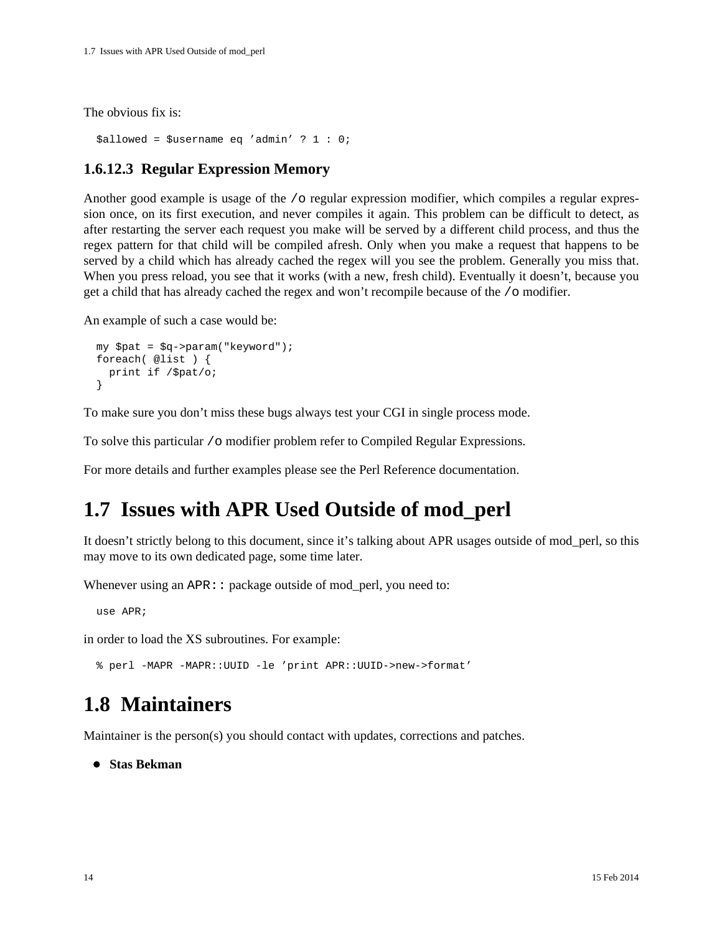The obvious fix is:

```
 $allowed = $username eq 'admin' ? 1 : 0;
```
#### <span id="page-13-0"></span>**1.6.12.3 Regular Expression Memory**

Another good example is usage of the /o regular expression modifier, which compiles a regular expression once, on its first execution, and never compiles it again. This problem can be difficult to detect, as after restarting the server each request you make will be served by a different child process, and thus the regex pattern for that child will be compiled afresh. Only when you make a request that happens to be served by a child which has already cached the regex will you see the problem. Generally you miss that. When you press reload, you see that it works (with a new, fresh child). Eventually it doesn't, because you get a child that has already cached the regex and won't recompile because of the /o modifier.

An example of such a case would be:

```
 my $pat = $q->param("keyword");
  foreach( @list ) {
    print if /$pat/o;
 }
```
To make sure you don't miss these bugs always test your CGI in single process mode.

To solve this particular /o modifier problem refer to Compiled Regular Expressions.

For more details and further examples please see the Perl Reference documentation.

## <span id="page-13-1"></span>**1.7 Issues with APR Used Outside of mod\_perl**

It doesn't strictly belong to this document, since it's talking about APR usages outside of mod\_perl, so this may move to its own dedicated page, some time later.

Whenever using an  $APR:$ : package outside of mod perl, you need to:

use APR;

in order to load the XS subroutines. For example:

% perl -MAPR -MAPR::UUID -le 'print APR::UUID->new->format'

## <span id="page-13-2"></span>**1.8 Maintainers**

Maintainer is the person(s) you should contact with updates, corrections and patches.

**Stas Bekman**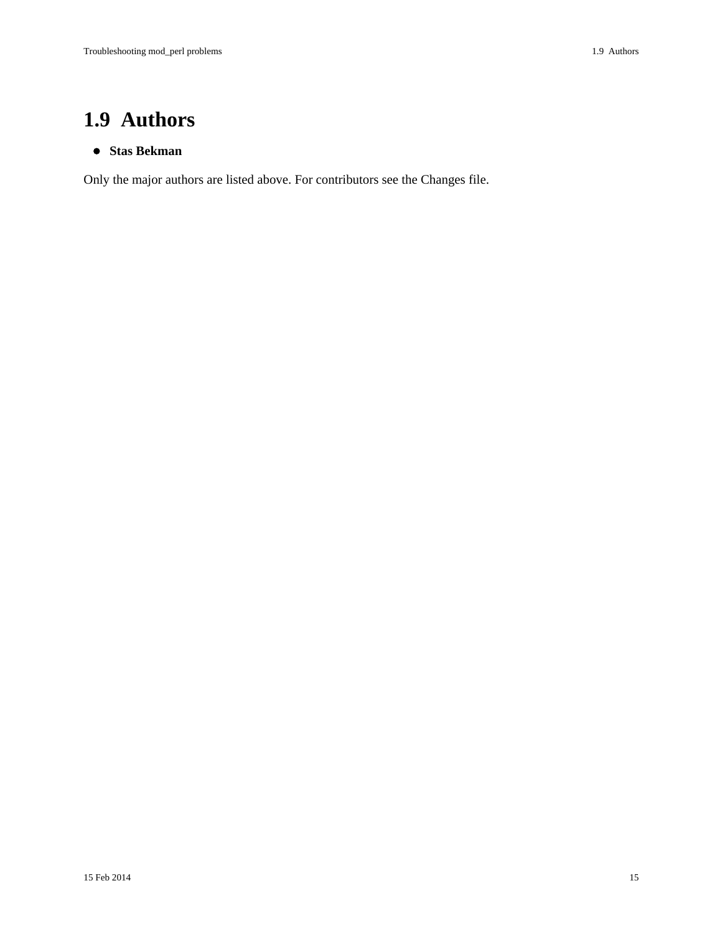# <span id="page-14-0"></span>**1.9 Authors**

#### **Stas Bekman**

Only the major authors are listed above. For contributors see the Changes file.